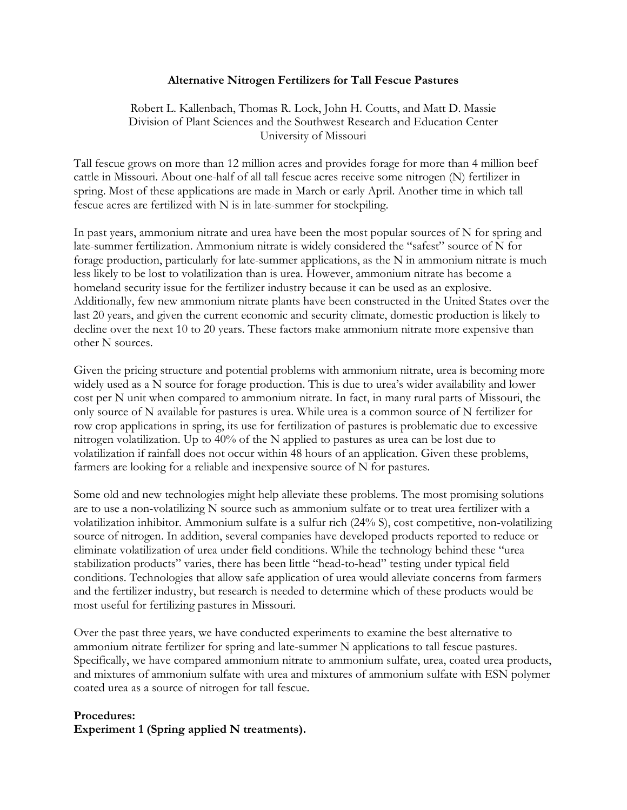#### **Alternative Nitrogen Fertilizers for Tall Fescue Pastures**

Robert L. Kallenbach, Thomas R. Lock, John H. Coutts, and Matt D. Massie Division of Plant Sciences and the Southwest Research and Education Center University of Missouri

Tall fescue grows on more than 12 million acres and provides forage for more than 4 million beef cattle in Missouri. About one-half of all tall fescue acres receive some nitrogen (N) fertilizer in spring. Most of these applications are made in March or early April. Another time in which tall fescue acres are fertilized with N is in late-summer for stockpiling.

In past years, ammonium nitrate and urea have been the most popular sources of N for spring and late-summer fertilization. Ammonium nitrate is widely considered the "safest" source of N for forage production, particularly for late-summer applications, as the N in ammonium nitrate is much less likely to be lost to volatilization than is urea. However, ammonium nitrate has become a homeland security issue for the fertilizer industry because it can be used as an explosive. Additionally, few new ammonium nitrate plants have been constructed in the United States over the last 20 years, and given the current economic and security climate, domestic production is likely to decline over the next 10 to 20 years. These factors make ammonium nitrate more expensive than other N sources.

Given the pricing structure and potential problems with ammonium nitrate, urea is becoming more widely used as a N source for forage production. This is due to urea's wider availability and lower cost per N unit when compared to ammonium nitrate. In fact, in many rural parts of Missouri, the only source of N available for pastures is urea. While urea is a common source of N fertilizer for row crop applications in spring, its use for fertilization of pastures is problematic due to excessive nitrogen volatilization. Up to 40% of the N applied to pastures as urea can be lost due to volatilization if rainfall does not occur within 48 hours of an application. Given these problems, farmers are looking for a reliable and inexpensive source of N for pastures.

Some old and new technologies might help alleviate these problems. The most promising solutions are to use a non-volatilizing N source such as ammonium sulfate or to treat urea fertilizer with a volatilization inhibitor. Ammonium sulfate is a sulfur rich (24% S), cost competitive, non-volatilizing source of nitrogen. In addition, several companies have developed products reported to reduce or eliminate volatilization of urea under field conditions. While the technology behind these "urea stabilization products" varies, there has been little "head-to-head" testing under typical field conditions. Technologies that allow safe application of urea would alleviate concerns from farmers and the fertilizer industry, but research is needed to determine which of these products would be most useful for fertilizing pastures in Missouri.

Over the past three years, we have conducted experiments to examine the best alternative to ammonium nitrate fertilizer for spring and late-summer N applications to tall fescue pastures. Specifically, we have compared ammonium nitrate to ammonium sulfate, urea, coated urea products, and mixtures of ammonium sulfate with urea and mixtures of ammonium sulfate with ESN polymer coated urea as a source of nitrogen for tall fescue.

### **Procedures: Experiment 1 (Spring applied N treatments).**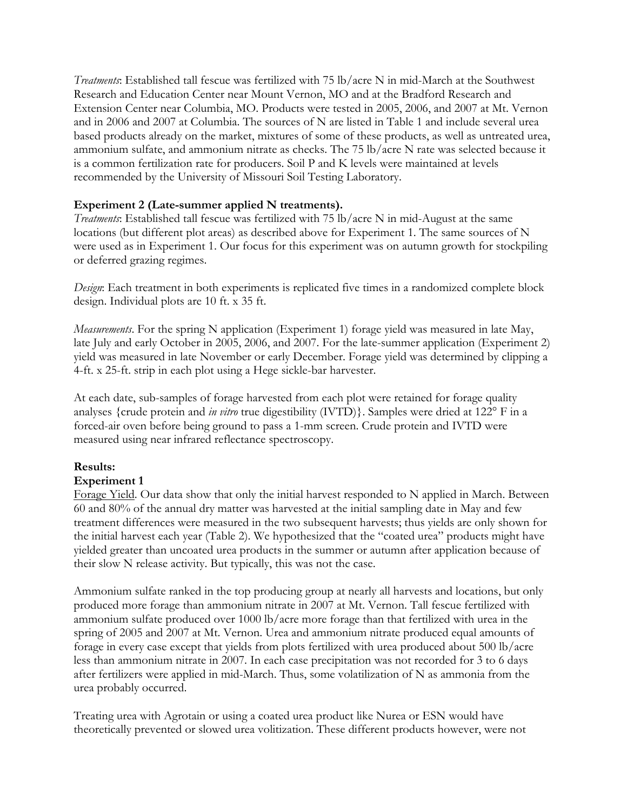*Treatments*: Established tall fescue was fertilized with 75 lb/acre N in mid-March at the Southwest Research and Education Center near Mount Vernon, MO and at the Bradford Research and Extension Center near Columbia, MO. Products were tested in 2005, 2006, and 2007 at Mt. Vernon and in 2006 and 2007 at Columbia. The sources of N are listed in Table 1 and include several urea based products already on the market, mixtures of some of these products, as well as untreated urea, ammonium sulfate, and ammonium nitrate as checks. The 75 lb/acre N rate was selected because it is a common fertilization rate for producers. Soil P and K levels were maintained at levels recommended by the University of Missouri Soil Testing Laboratory.

## **Experiment 2 (Late-summer applied N treatments).**

*Treatments*: Established tall fescue was fertilized with 75 lb/acre N in mid-August at the same locations (but different plot areas) as described above for Experiment 1. The same sources of N were used as in Experiment 1. Our focus for this experiment was on autumn growth for stockpiling or deferred grazing regimes.

*Design*: Each treatment in both experiments is replicated five times in a randomized complete block design. Individual plots are 10 ft. x 35 ft.

*Measurements*. For the spring N application (Experiment 1) forage yield was measured in late May, late July and early October in 2005, 2006, and 2007. For the late-summer application (Experiment 2) yield was measured in late November or early December. Forage yield was determined by clipping a 4-ft. x 25-ft. strip in each plot using a Hege sickle-bar harvester.

At each date, sub-samples of forage harvested from each plot were retained for forage quality analyses {crude protein and *in vitro* true digestibility (IVTD)}. Samples were dried at 122° F in a forced-air oven before being ground to pass a 1-mm screen. Crude protein and IVTD were measured using near infrared reflectance spectroscopy.

### **Results:**

### **Experiment 1**

Forage Yield. Our data show that only the initial harvest responded to N applied in March. Between 60 and 80% of the annual dry matter was harvested at the initial sampling date in May and few treatment differences were measured in the two subsequent harvests; thus yields are only shown for the initial harvest each year (Table 2). We hypothesized that the "coated urea" products might have yielded greater than uncoated urea products in the summer or autumn after application because of their slow N release activity. But typically, this was not the case.

Ammonium sulfate ranked in the top producing group at nearly all harvests and locations, but only produced more forage than ammonium nitrate in 2007 at Mt. Vernon. Tall fescue fertilized with ammonium sulfate produced over 1000 lb/acre more forage than that fertilized with urea in the spring of 2005 and 2007 at Mt. Vernon. Urea and ammonium nitrate produced equal amounts of forage in every case except that yields from plots fertilized with urea produced about 500 lb/acre less than ammonium nitrate in 2007. In each case precipitation was not recorded for 3 to 6 days after fertilizers were applied in mid-March. Thus, some volatilization of N as ammonia from the urea probably occurred.

Treating urea with Agrotain or using a coated urea product like Nurea or ESN would have theoretically prevented or slowed urea volitization. These different products however, were not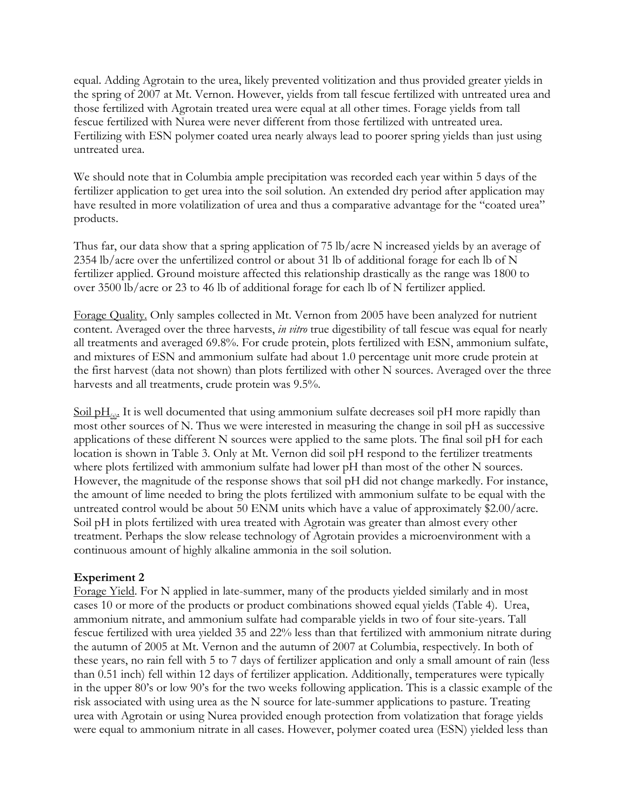equal. Adding Agrotain to the urea, likely prevented volitization and thus provided greater yields in the spring of 2007 at Mt. Vernon. However, yields from tall fescue fertilized with untreated urea and those fertilized with Agrotain treated urea were equal at all other times. Forage yields from tall fescue fertilized with Nurea were never different from those fertilized with untreated urea. Fertilizing with ESN polymer coated urea nearly always lead to poorer spring yields than just using untreated urea.

We should note that in Columbia ample precipitation was recorded each year within 5 days of the fertilizer application to get urea into the soil solution. An extended dry period after application may have resulted in more volatilization of urea and thus a comparative advantage for the "coated urea" products.

Thus far, our data show that a spring application of 75 lb/acre N increased yields by an average of 2354 lb/acre over the unfertilized control or about 31 lb of additional forage for each lb of N fertilizer applied. Ground moisture affected this relationship drastically as the range was 1800 to over 3500 lb/acre or 23 to 46 lb of additional forage for each lb of N fertilizer applied.

Forage Quality. Only samples collected in Mt. Vernon from 2005 have been analyzed for nutrient content. Averaged over the three harvests, *in vitro* true digestibility of tall fescue was equal for nearly all treatments and averaged 69.8%. For crude protein, plots fertilized with ESN, ammonium sulfate, and mixtures of ESN and ammonium sulfate had about 1.0 percentage unit more crude protein at the first harvest (data not shown) than plots fertilized with other N sources. Averaged over the three harvests and all treatments, crude protein was 9.5%.

 $\frac{\text{Soil } pH_{(s)}}{\text{H}}$ . It is well documented that using ammonium sulfate decreases soil pH more rapidly than most other sources of N. Thus we were interested in measuring the change in soil pH as successive applications of these different N sources were applied to the same plots. The final soil pH for each location is shown in Table 3. Only at Mt. Vernon did soil pH respond to the fertilizer treatments where plots fertilized with ammonium sulfate had lower pH than most of the other N sources. However, the magnitude of the response shows that soil pH did not change markedly. For instance, the amount of lime needed to bring the plots fertilized with ammonium sulfate to be equal with the untreated control would be about 50 ENM units which have a value of approximately \$2.00/acre. Soil pH in plots fertilized with urea treated with Agrotain was greater than almost every other treatment. Perhaps the slow release technology of Agrotain provides a microenvironment with a continuous amount of highly alkaline ammonia in the soil solution.

#### **Experiment 2**

Forage Yield. For N applied in late-summer, many of the products yielded similarly and in most cases 10 or more of the products or product combinations showed equal yields (Table 4). Urea, ammonium nitrate, and ammonium sulfate had comparable yields in two of four site-years. Tall fescue fertilized with urea yielded 35 and 22% less than that fertilized with ammonium nitrate during the autumn of 2005 at Mt. Vernon and the autumn of 2007 at Columbia, respectively. In both of these years, no rain fell with 5 to 7 days of fertilizer application and only a small amount of rain (less than 0.51 inch) fell within 12 days of fertilizer application. Additionally, temperatures were typically in the upper 80's or low 90's for the two weeks following application. This is a classic example of the risk associated with using urea as the N source for late-summer applications to pasture. Treating urea with Agrotain or using Nurea provided enough protection from volatization that forage yields were equal to ammonium nitrate in all cases. However, polymer coated urea (ESN) yielded less than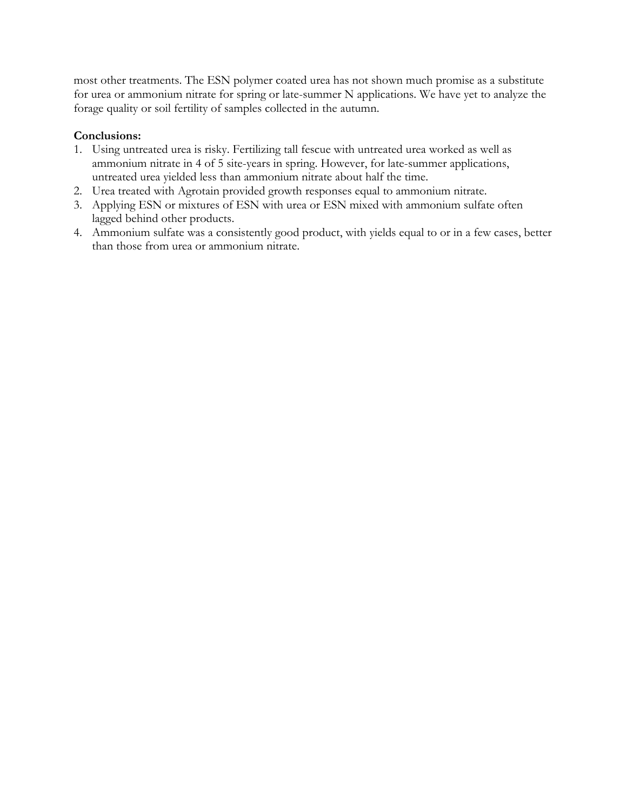most other treatments. The ESN polymer coated urea has not shown much promise as a substitute for urea or ammonium nitrate for spring or late-summer N applications. We have yet to analyze the forage quality or soil fertility of samples collected in the autumn.

# **Conclusions:**

- 1. Using untreated urea is risky. Fertilizing tall fescue with untreated urea worked as well as ammonium nitrate in 4 of 5 site-years in spring. However, for late-summer applications, untreated urea yielded less than ammonium nitrate about half the time.
- 2. Urea treated with Agrotain provided growth responses equal to ammonium nitrate.
- 3. Applying ESN or mixtures of ESN with urea or ESN mixed with ammonium sulfate often lagged behind other products.
- 4. Ammonium sulfate was a consistently good product, with yields equal to or in a few cases, better than those from urea or ammonium nitrate.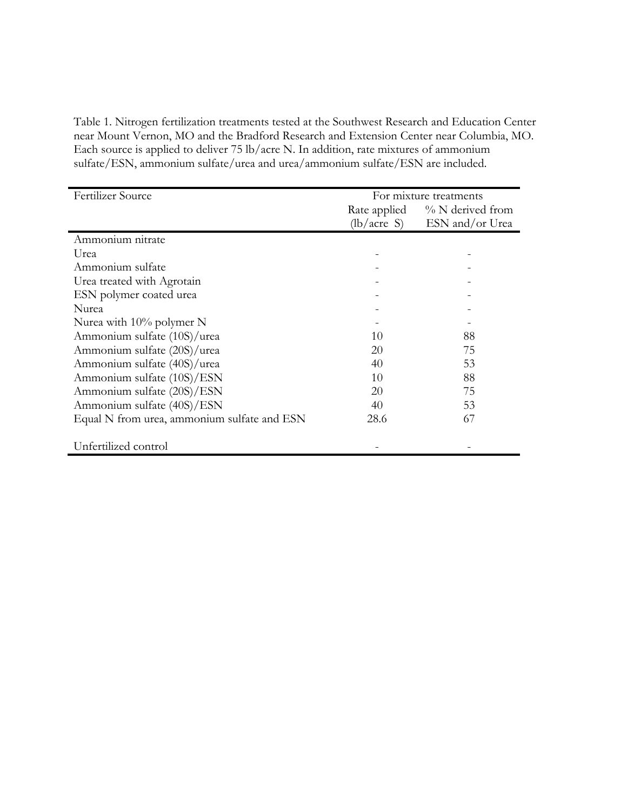Table 1. Nitrogen fertilization treatments tested at the Southwest Research and Education Center near Mount Vernon, MO and the Bradford Research and Extension Center near Columbia, MO. Each source is applied to deliver 75 lb/acre N. In addition, rate mixtures of ammonium sulfate/ESN, ammonium sulfate/urea and urea/ammonium sulfate/ESN are included.

| Fertilizer Source                           | For mixture treatments              |                 |
|---------------------------------------------|-------------------------------------|-----------------|
|                                             | $\%$ N derived from<br>Rate applied |                 |
|                                             | (lb/acre S)                         | ESN and/or Urea |
| Ammonium nitrate                            |                                     |                 |
| Urea                                        |                                     |                 |
| Ammonium sulfate                            |                                     |                 |
| Urea treated with Agrotain                  |                                     |                 |
| ESN polymer coated urea                     |                                     |                 |
| Nurea                                       |                                     |                 |
| Nurea with $10\%$ polymer N                 |                                     |                 |
| Ammonium sulfate (10S)/urea                 | 10                                  | 88              |
| Ammonium sulfate (20S)/urea                 | 20                                  | 75              |
| Ammonium sulfate (40S)/urea                 | 40                                  | 53              |
| Ammonium sulfate (10S)/ESN                  | 10                                  | 88              |
| Ammonium sulfate (20S)/ESN                  | 20                                  | 75              |
| Ammonium sulfate (40S)/ESN                  | 40                                  | 53              |
| Equal N from urea, ammonium sulfate and ESN | 28.6                                | 67              |
| Unfertilized control                        |                                     |                 |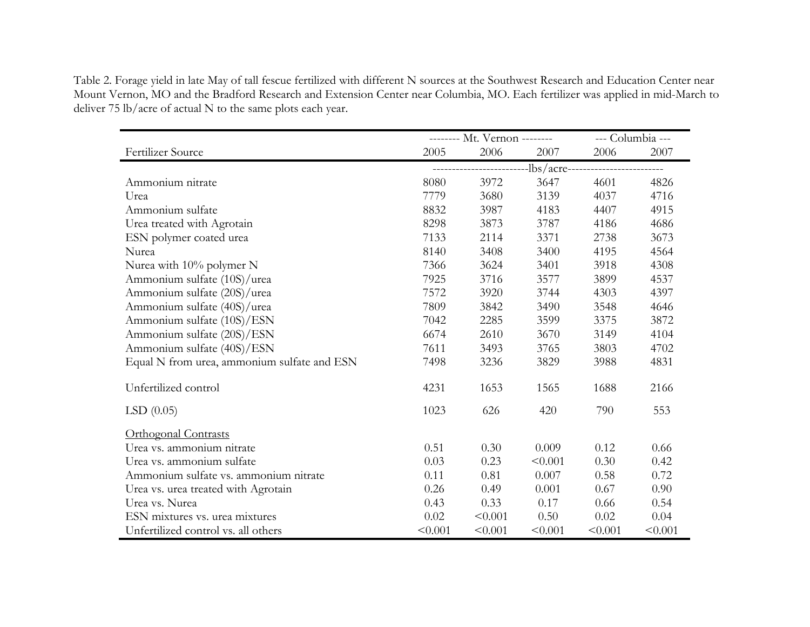Table 2. Forage yield in late May of tall fescue fertilized with different N sources at the Southwest Research and Education Center near Mount Vernon, MO and the Bradford Research and Extension Center near Columbia, MO. Each fertilizer was applied in mid-March to deliver 75 lb/acre of actual N to the same plots each year.

|                                             | -------- Mt. Vernon -------- |         |                                             | --- Columbia --- |         |
|---------------------------------------------|------------------------------|---------|---------------------------------------------|------------------|---------|
| Fertilizer Source                           | 2005                         | 2006    | 2007                                        | 2006             | 2007    |
|                                             |                              |         | ---------------lbs/acre-------------------- |                  |         |
| Ammonium nitrate                            | 8080                         | 3972    | 3647                                        | 4601             | 4826    |
| Urea                                        | 7779                         | 3680    | 3139                                        | 4037             | 4716    |
| Ammonium sulfate                            | 8832                         | 3987    | 4183                                        | 4407             | 4915    |
| Urea treated with Agrotain                  | 8298                         | 3873    | 3787                                        | 4186             | 4686    |
| ESN polymer coated urea                     | 7133                         | 2114    | 3371                                        | 2738             | 3673    |
| Nurea                                       | 8140                         | 3408    | 3400                                        | 4195             | 4564    |
| Nurea with 10% polymer N                    | 7366                         | 3624    | 3401                                        | 3918             | 4308    |
| Ammonium sulfate (10S)/urea                 | 7925                         | 3716    | 3577                                        | 3899             | 4537    |
| Ammonium sulfate (20S)/urea                 | 7572                         | 3920    | 3744                                        | 4303             | 4397    |
| Ammonium sulfate (40S)/urea                 | 7809                         | 3842    | 3490                                        | 3548             | 4646    |
| Ammonium sulfate (10S)/ESN                  | 7042                         | 2285    | 3599                                        | 3375             | 3872    |
| Ammonium sulfate (20S)/ESN                  | 6674                         | 2610    | 3670                                        | 3149             | 4104    |
| Ammonium sulfate (40S)/ESN                  | 7611                         | 3493    | 3765                                        | 3803             | 4702    |
| Equal N from urea, ammonium sulfate and ESN | 7498                         | 3236    | 3829                                        | 3988             | 4831    |
| Unfertilized control                        | 4231                         | 1653    | 1565                                        | 1688             | 2166    |
| LSD(0.05)                                   | 1023                         | 626     | 420                                         | 790              | 553     |
| <b>Orthogonal Contrasts</b>                 |                              |         |                                             |                  |         |
| Urea vs. ammonium nitrate                   | 0.51                         | 0.30    | 0.009                                       | 0.12             | 0.66    |
| Urea vs. ammonium sulfate                   | 0.03                         | 0.23    | < 0.001                                     | 0.30             | 0.42    |
| Ammonium sulfate vs. ammonium nitrate       | 0.11                         | 0.81    | 0.007                                       | 0.58             | 0.72    |
| Urea vs. urea treated with Agrotain         | 0.26                         | 0.49    | 0.001                                       | 0.67             | 0.90    |
| Urea vs. Nurea                              | 0.43                         | 0.33    | 0.17                                        | 0.66             | 0.54    |
| ESN mixtures vs. urea mixtures              | 0.02                         | < 0.001 | 0.50                                        | 0.02             | 0.04    |
| Unfertilized control vs. all others         | < 0.001                      | < 0.001 | < 0.001                                     | < 0.001          | < 0.001 |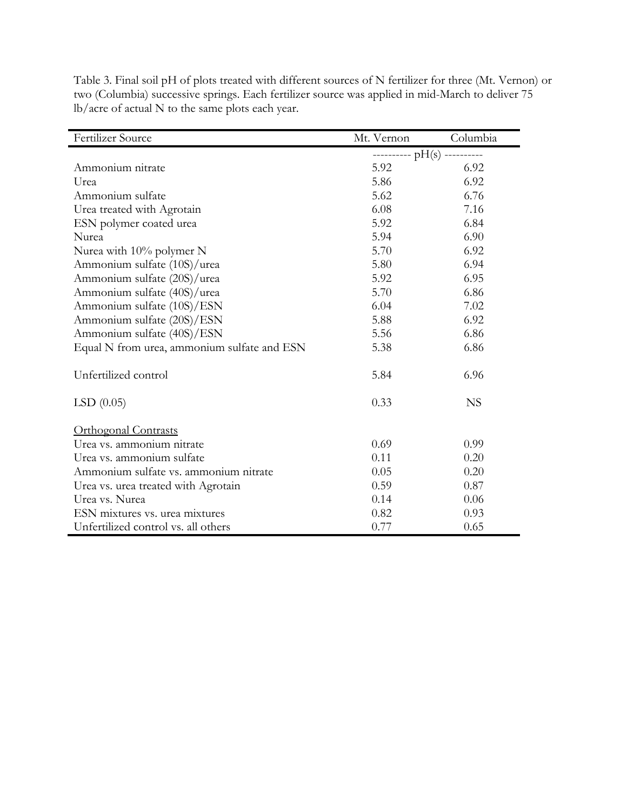| Fertilizer Source                           | Mt. Vernon | Columbia                      |  |
|---------------------------------------------|------------|-------------------------------|--|
|                                             |            | ---------- $pH(s)$ ---------- |  |
| Ammonium nitrate                            | 5.92       | 6.92                          |  |
| Urea                                        | 5.86       | 6.92                          |  |
| Ammonium sulfate                            | 5.62       | 6.76                          |  |
| Urea treated with Agrotain                  | 6.08       | 7.16                          |  |
| ESN polymer coated urea                     | 5.92       | 6.84                          |  |
| Nurea                                       | 5.94       | 6.90                          |  |
| Nurea with 10% polymer N                    | 5.70       | 6.92                          |  |
| Ammonium sulfate (10S)/urea                 | 5.80       | 6.94                          |  |
| Ammonium sulfate (20S)/urea                 | 5.92       | 6.95                          |  |
| Ammonium sulfate (40S)/urea                 | 5.70       | 6.86                          |  |
| Ammonium sulfate (10S)/ESN                  | 6.04       | 7.02                          |  |
| Ammonium sulfate (20S)/ESN                  | 5.88       | 6.92                          |  |
| Ammonium sulfate (40S)/ESN                  | 5.56       | 6.86                          |  |
| Equal N from urea, ammonium sulfate and ESN | 5.38       | 6.86                          |  |
| Unfertilized control                        | 5.84       | 6.96                          |  |
| LSD(0.05)                                   | 0.33       | <b>NS</b>                     |  |
| <b>Orthogonal Contrasts</b>                 |            |                               |  |
| Urea vs. ammonium nitrate                   | 0.69       | 0.99                          |  |
| Urea vs. ammonium sulfate                   | 0.11       | 0.20                          |  |
| Ammonium sulfate vs. ammonium nitrate       | 0.05       | 0.20                          |  |
| Urea vs. urea treated with Agrotain         | 0.59       | 0.87                          |  |
| Urea vs. Nurea                              | 0.14       | 0.06                          |  |
| ESN mixtures vs. urea mixtures              | 0.82       | 0.93                          |  |
| Unfertilized control vs. all others         | 0.77       | 0.65                          |  |

Table 3. Final soil pH of plots treated with different sources of N fertilizer for three (Mt. Vernon) or two (Columbia) successive springs. Each fertilizer source was applied in mid-March to deliver 75 lb/acre of actual N to the same plots each year.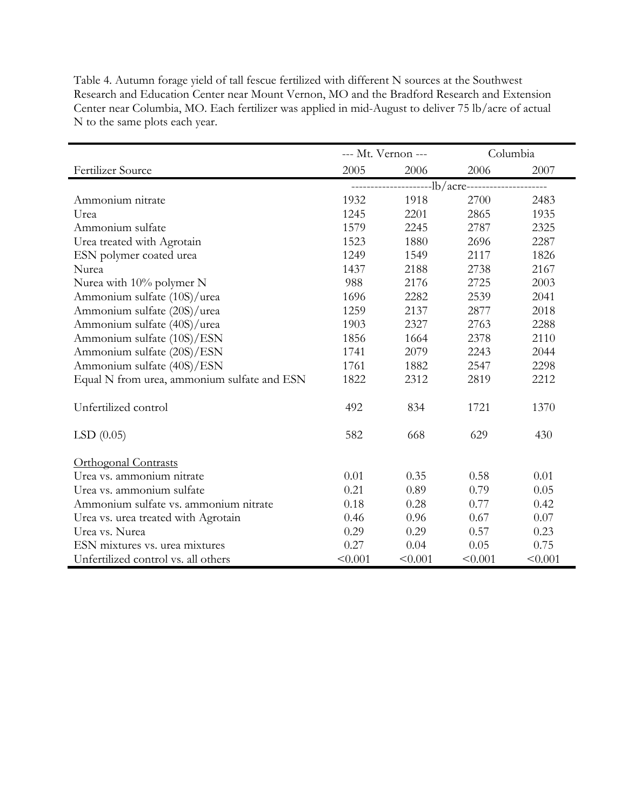|                                             |                                  | --- Mt. Vernon --- |         | Columbia |
|---------------------------------------------|----------------------------------|--------------------|---------|----------|
| Fertilizer Source                           | 2005                             | 2006               | 2006    | 2007     |
|                                             | ---------lb/acre---------------- |                    |         |          |
| Ammonium nitrate                            | 1932                             | 1918               | 2700    | 2483     |
| Urea                                        | 1245                             | 2201               | 2865    | 1935     |
| Ammonium sulfate                            | 1579                             | 2245               | 2787    | 2325     |
| Urea treated with Agrotain                  | 1523                             | 1880               | 2696    | 2287     |
| ESN polymer coated urea                     | 1249                             | 1549               | 2117    | 1826     |
| Nurea                                       | 1437                             | 2188               | 2738    | 2167     |
| Nurea with 10% polymer N                    | 988                              | 2176               | 2725    | 2003     |
| Ammonium sulfate (10S)/urea                 | 1696                             | 2282               | 2539    | 2041     |
| Ammonium sulfate (20S)/urea                 | 1259                             | 2137               | 2877    | 2018     |
| Ammonium sulfate (40S)/urea                 | 1903                             | 2327               | 2763    | 2288     |
| Ammonium sulfate (10S)/ESN                  | 1856                             | 1664               | 2378    | 2110     |
| Ammonium sulfate (20S)/ESN                  | 1741                             | 2079               | 2243    | 2044     |
| Ammonium sulfate (40S)/ESN                  | 1761                             | 1882               | 2547    | 2298     |
| Equal N from urea, ammonium sulfate and ESN | 1822                             | 2312               | 2819    | 2212     |
| Unfertilized control                        | 492                              | 834                | 1721    | 1370     |
| LSD(0.05)                                   | 582                              | 668                | 629     | 430      |
| Orthogonal Contrasts                        |                                  |                    |         |          |
| Urea vs. ammonium nitrate                   | 0.01                             | 0.35               | 0.58    | 0.01     |
| Urea vs. ammonium sulfate                   | 0.21                             | 0.89               | 0.79    | 0.05     |
| Ammonium sulfate vs. ammonium nitrate       | 0.18                             | 0.28               | 0.77    | 0.42     |
| Urea vs. urea treated with Agrotain         | 0.46                             | 0.96               | 0.67    | 0.07     |
| Urea vs. Nurea                              | 0.29                             | 0.29               | 0.57    | 0.23     |
| ESN mixtures vs. urea mixtures              | 0.27                             | 0.04               | 0.05    | 0.75     |
| Unfertilized control vs. all others         | < 0.001                          | < 0.001            | < 0.001 | < 0.001  |

Table 4. Autumn forage yield of tall fescue fertilized with different N sources at the Southwest Research and Education Center near Mount Vernon, MO and the Bradford Research and Extension Center near Columbia, MO. Each fertilizer was applied in mid-August to deliver 75 lb/acre of actual N to the same plots each year.